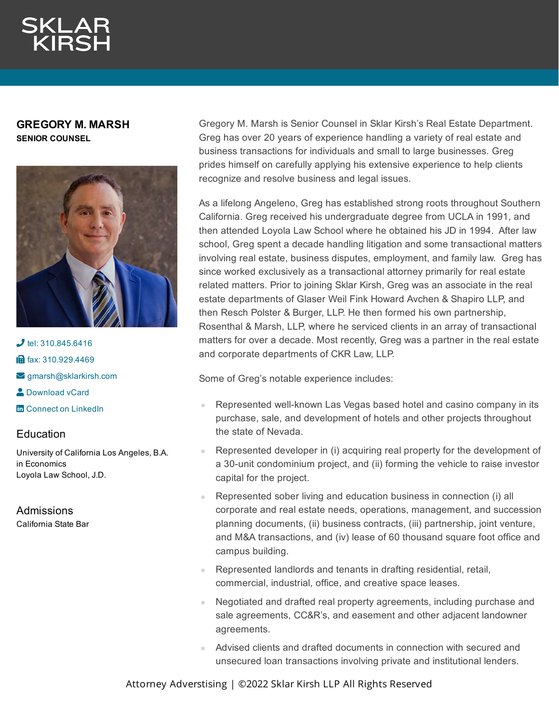**GREGORY M. MARSH SENIOR COUNSEL**



 $J$  tel: [310.845.6416](tel:310.845.6416) **in** fax: [310.929.4469](fax:310.929.4469)  $\blacktriangleright$  [gmarsh@sklarkirsh.com](mailto:gmarsh@sklarkirsh.com) **2** [Download](https://www.sklarkirsh.com/api/vcard?firstName=Gregory&middleName=M.&lastName=Marsh&email=gmarsh@sklarkirsh.com&position=SENIOR%20COUNSEL&company=Sklar%20Kirsh%20LLP&phone=310.845.6416&fax=310.929.4469&address1=1880%20Century%20Park%20East,%20Ste%20300&city=Los%20Angeles&state=CA&zip=90067&country=US&image=https%253A%252F%252Fres.cloudinary.com%252Fsklar-kirsh-main%252Fimages%252F%252Ff_auto%252Cq_auto%252Fv1644341187%252FGMarsh2-2_4224f1ad2%252FGMarsh2-2_4224f1ad2.jpg%253F_i%253DAA&) vCard **m** Connect on [LinkedIn](https://www.linkedin.com/in/gregory-marsh-87004642/)

## **Education**

University of California Los Angeles, B.A. in Economics Loyola Law School, J.D.

Admissions California State Bar Gregory M. Marsh is Senior Counsel in Sklar Kirsh's Real Estate Department. Greg has over 20 years of experience handling a variety of real estate and business transactions for individuals and small to large businesses. Greg prides himself on carefully applying his extensive experience to help clients recognize and resolve business and legal issues.

As a lifelong Angeleno, Greg has established strong roots throughout Southern California. Greg received his undergraduate degree from UCLA in 1991, and then attended Loyola Law School where he obtained his JD in 1994. After law school, Greg spent a decade handling litigation and some transactional matters involving real estate, business disputes, employment, and family law. Greg has since worked exclusively as a transactional attorney primarily for real estate related matters. Prior to joining Sklar Kirsh, Greg was an associate in the real estate departments of Glaser Weil Fink Howard Avchen & Shapiro LLP, and then Resch Polster & Burger, LLP. He then formed his own partnership, Rosenthal & Marsh, LLP, where he serviced clients in an array of transactional matters for over a decade. Most recently, Greg was a partner in the real estate and corporate departments of CKR Law, LLP.

Some of Greg's notable experience includes:

- Represented well-known Las Vegas based hotel and casino company in its purchase, sale, and development of hotels and other projects throughout the state of Nevada.
- Represented developer in (i) acquiring real property for the development of a 30-unit condominium project, and (ii) forming the vehicle to raise investor capital for the project.
- Represented sober living and education business in connection (i) all corporate and real estate needs, operations, management, and succession planning documents, (ii) business contracts, (iii) partnership, joint venture, and M&A transactions, and (iv) lease of 60 thousand square foot office and campus building.
- Represented landlords and tenants in drafting residential, retail, commercial, industrial, office, and creative space leases.
- Negotiated and drafted real property agreements, including purchase and sale agreements, CC&R's, and easement and other adjacent landowner agreements.
- Advised clients and drafted documents in connection with secured and unsecured loan transactions involving private and institutional lenders.

Attorney Adverstising | ©2022 Sklar Kirsh LLP All Rights Reserved